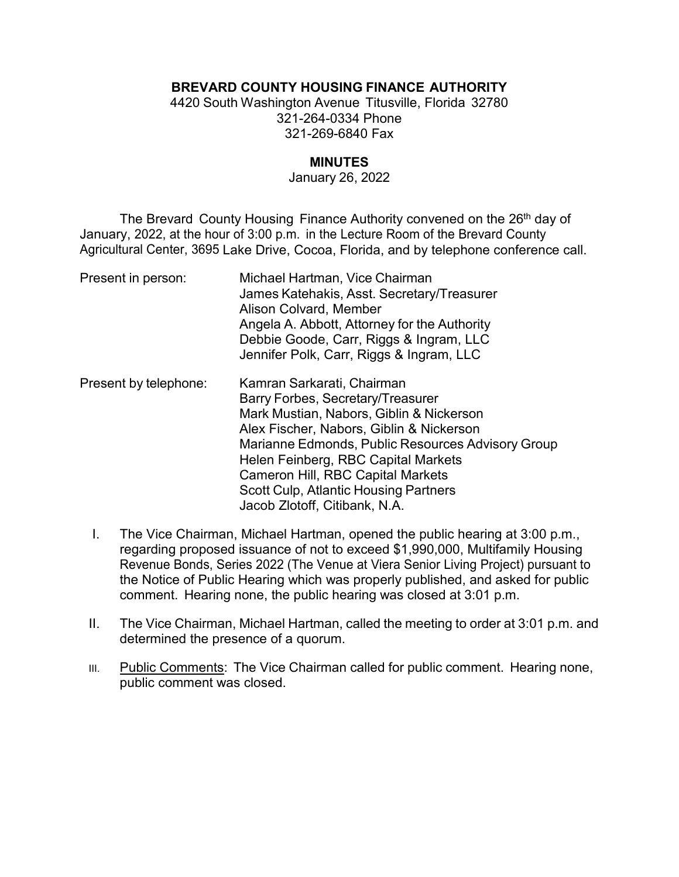# **BREVARD COUNTY HOUSING FINANCE AUTHORITY**

4420 South Washington Avenue Titusville, Florida 32780 321-264-0334 Phone 321-269-6840 Fax

### **MINUTES**

#### January 26, 2022

The Brevard County Housing Finance Authority convened on the 26<sup>th</sup> day of January, 2022, at the hour of 3:00 p.m. in the Lecture Room of the Brevard County Agricultural Center, 3695 Lake Drive, Cocoa, Florida, and by telephone conference call.

| Present in person:    | Michael Hartman, Vice Chairman<br>James Katehakis, Asst. Secretary/Treasurer<br>Alison Colvard, Member<br>Angela A. Abbott, Attorney for the Authority<br>Debbie Goode, Carr, Riggs & Ingram, LLC<br>Jennifer Polk, Carr, Riggs & Ingram, LLC                                                                                                                                    |
|-----------------------|----------------------------------------------------------------------------------------------------------------------------------------------------------------------------------------------------------------------------------------------------------------------------------------------------------------------------------------------------------------------------------|
| Present by telephone: | Kamran Sarkarati, Chairman<br>Barry Forbes, Secretary/Treasurer<br>Mark Mustian, Nabors, Giblin & Nickerson<br>Alex Fischer, Nabors, Giblin & Nickerson<br>Marianne Edmonds, Public Resources Advisory Group<br>Helen Feinberg, RBC Capital Markets<br><b>Cameron Hill, RBC Capital Markets</b><br><b>Scott Culp, Atlantic Housing Partners</b><br>Jacob Zlotoff, Citibank, N.A. |

- I. The Vice Chairman, Michael Hartman, opened the public hearing at 3:00 p.m., regarding proposed issuance of not to exceed \$1,990,000, Multifamily Housing Revenue Bonds, Series 2022 (The Venue at Viera Senior Living Project) pursuant to the Notice of Public Hearing which was properly published, and asked for public comment. Hearing none, the public hearing was closed at 3:01 p.m.
- II. The Vice Chairman, Michael Hartman, called the meeting to order at 3:01 p.m. and determined the presence of a quorum.
- III. Public Comments: The Vice Chairman called for public comment. Hearing none, public comment was closed.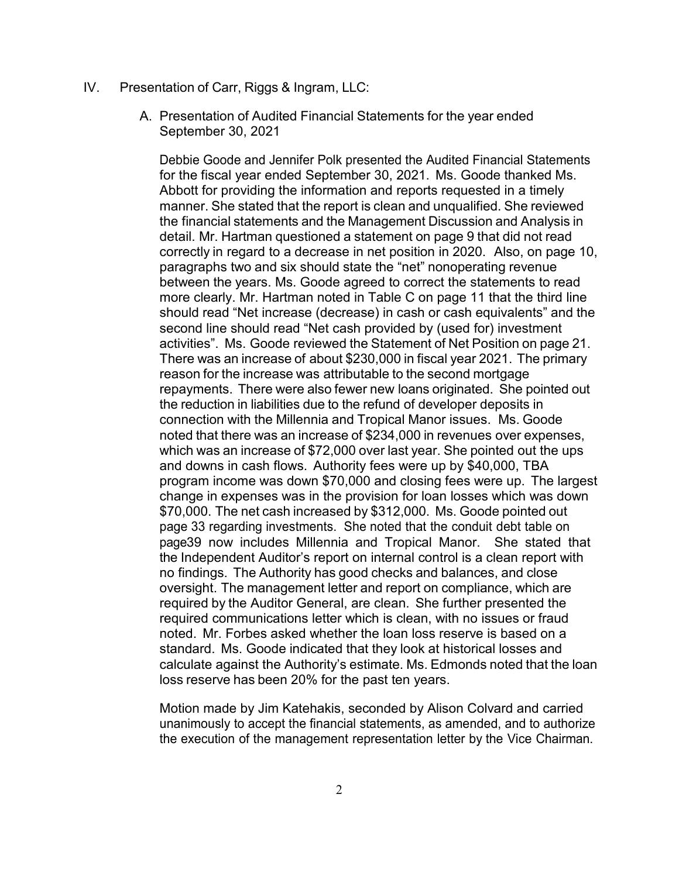#### IV. Presentation of Carr, Riggs & Ingram, LLC:

A. Presentation of Audited Financial Statements for the year ended September 30, 2021

Debbie Goode and Jennifer Polk presented the Audited Financial Statements for the fiscal year ended September 30, 2021. Ms. Goode thanked Ms. Abbott for providing the information and reports requested in a timely manner. She stated that the report is clean and unqualified. She reviewed the financial statements and the Management Discussion and Analysis in detail. Mr. Hartman questioned a statement on page 9 that did not read correctly in regard to a decrease in net position in 2020. Also, on page 10, paragraphs two and six should state the "net" nonoperating revenue between the years. Ms. Goode agreed to correct the statements to read more clearly. Mr. Hartman noted in Table C on page 11 that the third line should read "Net increase (decrease) in cash or cash equivalents" and the second line should read "Net cash provided by (used for) investment activities". Ms. Goode reviewed the Statement of Net Position on page 21. There was an increase of about \$230,000 in fiscal year 2021. The primary reason for the increase was attributable to the second mortgage repayments. There were also fewer new loans originated. She pointed out the reduction in liabilities due to the refund of developer deposits in connection with the Millennia and Tropical Manor issues. Ms. Goode noted that there was an increase of \$234,000 in revenues over expenses, which was an increase of \$72,000 over last year. She pointed out the ups and downs in cash flows. Authority fees were up by \$40,000, TBA program income was down \$70,000 and closing fees were up. The largest change in expenses was in the provision for loan losses which was down \$70,000. The net cash increased by \$312,000. Ms. Goode pointed out page 33 regarding investments. She noted that the conduit debt table on page39 now includes Millennia and Tropical Manor. She stated that the Independent Auditor's report on internal control is a clean report with no findings. The Authority has good checks and balances, and close oversight. The management letter and report on compliance, which are required by the Auditor General, are clean. She further presented the required communications letter which is clean, with no issues or fraud noted. Mr. Forbes asked whether the loan loss reserve is based on a standard. Ms. Goode indicated that they look at historical losses and calculate against the Authority's estimate. Ms. Edmonds noted that the loan loss reserve has been 20% for the past ten years.

Motion made by Jim Katehakis, seconded by Alison Colvard and carried unanimously to accept the financial statements, as amended, and to authorize the execution of the management representation letter by the Vice Chairman.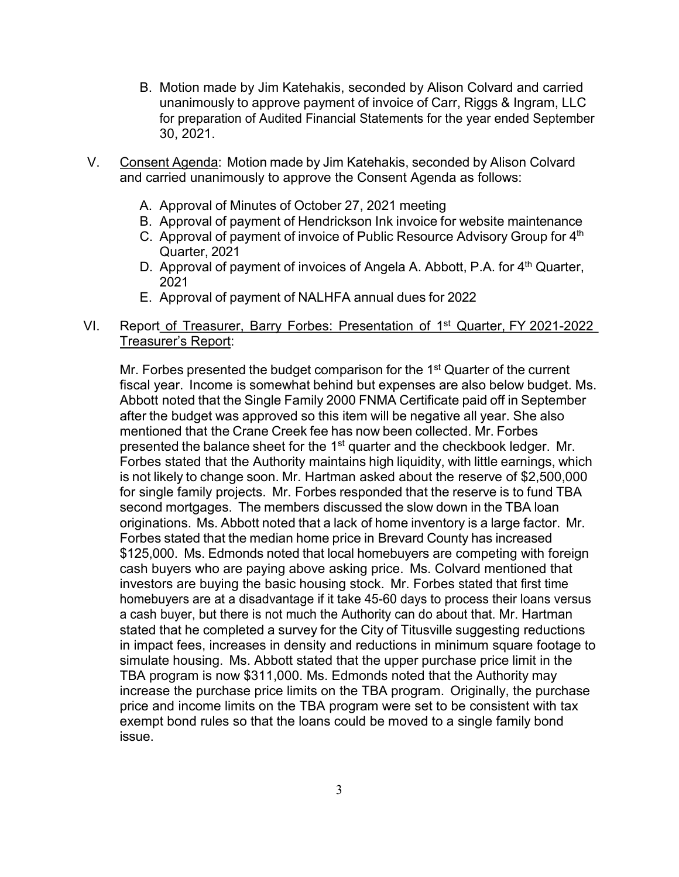- B. Motion made by Jim Katehakis, seconded by Alison Colvard and carried unanimously to approve payment of invoice of Carr, Riggs & Ingram, LLC for preparation of Audited Financial Statements for the year ended September 30, 2021.
- V. Consent Agenda: Motion made by Jim Katehakis, seconded by Alison Colvard and carried unanimously to approve the Consent Agenda as follows:
	- A. Approval of Minutes of October 27, 2021 meeting
	- B. Approval of payment of Hendrickson Ink invoice for website maintenance
	- C. Approval of payment of invoice of Public Resource Advisory Group for 4<sup>th</sup> Quarter, 2021
	- D. Approval of payment of invoices of Angela A. Abbott, P.A. for 4<sup>th</sup> Quarter, 2021
	- E. Approval of payment of NALHFA annual dues for 2022
- VI. Report of Treasurer, Barry Forbes: Presentation of 1st Quarter, FY 2021-2022 Treasurer's Report:

Mr. Forbes presented the budget comparison for the 1<sup>st</sup> Quarter of the current fiscal year. Income is somewhat behind but expenses are also below budget. Ms. Abbott noted that the Single Family 2000 FNMA Certificate paid off in September after the budget was approved so this item will be negative all year. She also mentioned that the Crane Creek fee has now been collected. Mr. Forbes presented the balance sheet for the 1<sup>st</sup> quarter and the checkbook ledger. Mr. Forbes stated that the Authority maintains high liquidity, with little earnings, which is not likely to change soon. Mr. Hartman asked about the reserve of \$2,500,000 for single family projects. Mr. Forbes responded that the reserve is to fund TBA second mortgages. The members discussed the slow down in the TBA loan originations. Ms. Abbott noted that a lack of home inventory is a large factor. Mr. Forbes stated that the median home price in Brevard County has increased \$125,000. Ms. Edmonds noted that local homebuyers are competing with foreign cash buyers who are paying above asking price. Ms. Colvard mentioned that investors are buying the basic housing stock. Mr. Forbes stated that first time homebuyers are at a disadvantage if it take 45-60 days to process their loans versus a cash buyer, but there is not much the Authority can do about that. Mr. Hartman stated that he completed a survey for the City of Titusville suggesting reductions in impact fees, increases in density and reductions in minimum square footage to simulate housing. Ms. Abbott stated that the upper purchase price limit in the TBA program is now \$311,000. Ms. Edmonds noted that the Authority may increase the purchase price limits on the TBA program. Originally, the purchase price and income limits on the TBA program were set to be consistent with tax exempt bond rules so that the loans could be moved to a single family bond issue.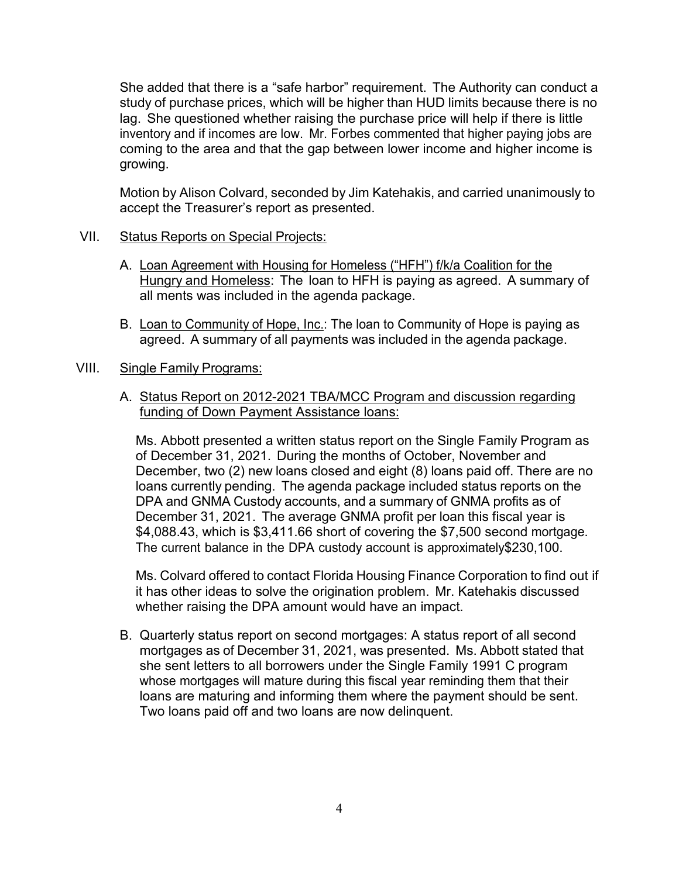She added that there is a "safe harbor" requirement. The Authority can conduct a study of purchase prices, which will be higher than HUD limits because there is no lag. She questioned whether raising the purchase price will help if there is little inventory and if incomes are low. Mr. Forbes commented that higher paying jobs are coming to the area and that the gap between lower income and higher income is growing.

Motion by Alison Colvard, seconded by Jim Katehakis, and carried unanimously to accept the Treasurer's report as presented.

## VII. Status Reports on Special Projects:

- A. Loan Agreement with Housing for Homeless ("HFH") f/k/a Coalition for the Hungry and Homeless: The loan to HFH is paying as agreed. A summary of all ments was included in the agenda package.
- B. Loan to Community of Hope, Inc.: The loan to Community of Hope is paying as agreed. A summary of all payments was included in the agenda package.

## VIII. Single Family Programs:

A. Status Report on 2012-2021 TBA/MCC Program and discussion regarding funding of Down Payment Assistance loans:

Ms. Abbott presented a written status report on the Single Family Program as of December 31, 2021. During the months of October, November and December, two (2) new loans closed and eight (8) loans paid off. There are no loans currently pending. The agenda package included status reports on the DPA and GNMA Custody accounts, and a summary of GNMA profits as of December 31, 2021. The average GNMA profit per loan this fiscal year is \$4,088.43, which is \$3,411.66 short of covering the \$7,500 second mortgage. The current balance in the DPA custody account is approximately\$230,100.

Ms. Colvard offered to contact Florida Housing Finance Corporation to find out if it has other ideas to solve the origination problem. Mr. Katehakis discussed whether raising the DPA amount would have an impact.

B. Quarterly status report on second mortgages: A status report of all second mortgages as of December 31, 2021, was presented. Ms. Abbott stated that she sent letters to all borrowers under the Single Family 1991 C program whose mortgages will mature during this fiscal year reminding them that their loans are maturing and informing them where the payment should be sent. Two loans paid off and two loans are now delinquent.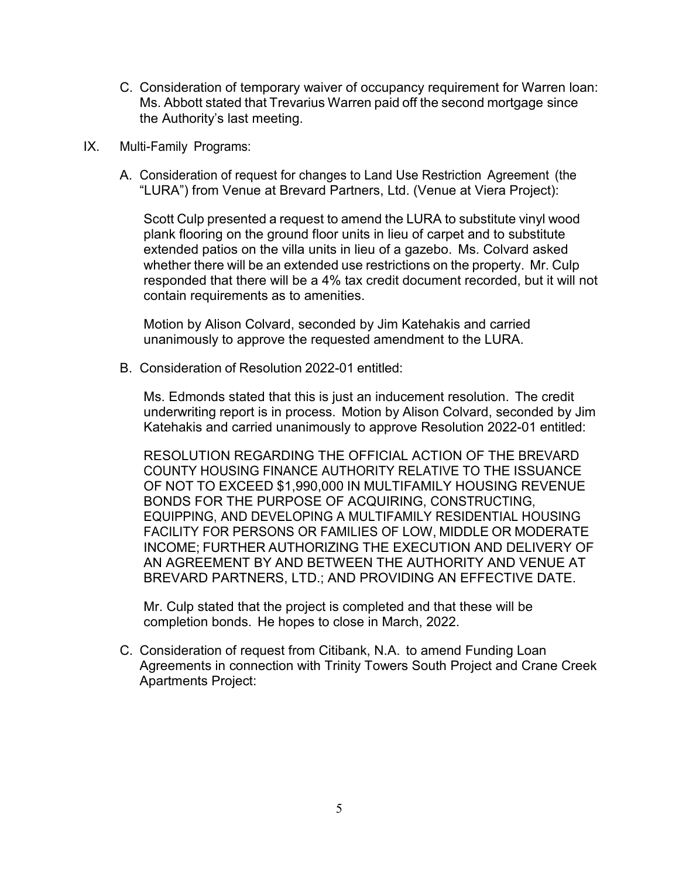- C. Consideration of temporary waiver of occupancy requirement for Warren loan: Ms. Abbott stated that Trevarius Warren paid off the second mortgage since the Authority's last meeting.
- IX. Multi-Family Programs:
	- A. Consideration of request for changes to Land Use Restriction Agreement (the "LURA") from Venue at Brevard Partners, Ltd. (Venue at Viera Project):

Scott Culp presented a request to amend the LURA to substitute vinyl wood plank flooring on the ground floor units in lieu of carpet and to substitute extended patios on the villa units in lieu of a gazebo. Ms. Colvard asked whether there will be an extended use restrictions on the property. Mr. Culp responded that there will be a 4% tax credit document recorded, but it will not contain requirements as to amenities.

Motion by Alison Colvard, seconded by Jim Katehakis and carried unanimously to approve the requested amendment to the LURA.

B. Consideration of Resolution 2022-01 entitled:

Ms. Edmonds stated that this is just an inducement resolution. The credit underwriting report is in process. Motion by Alison Colvard, seconded by Jim Katehakis and carried unanimously to approve Resolution 2022-01 entitled:

RESOLUTION REGARDING THE OFFICIAL ACTION OF THE BREVARD COUNTY HOUSING FINANCE AUTHORITY RELATIVE TO THE ISSUANCE OF NOT TO EXCEED \$1,990,000 IN MULTIFAMILY HOUSING REVENUE BONDS FOR THE PURPOSE OF ACQUIRING, CONSTRUCTING, EQUIPPING, AND DEVELOPING A MULTIFAMILY RESIDENTIAL HOUSING FACILITY FOR PERSONS OR FAMILIES OF LOW, MIDDLE OR MODERATE INCOME; FURTHER AUTHORIZING THE EXECUTION AND DELIVERY OF AN AGREEMENT BY AND BETWEEN THE AUTHORITY AND VENUE AT BREVARD PARTNERS, LTD.; AND PROVIDING AN EFFECTIVE DATE.

Mr. Culp stated that the project is completed and that these will be completion bonds. He hopes to close in March, 2022.

C. Consideration of request from Citibank, N.A. to amend Funding Loan Agreements in connection with Trinity Towers South Project and Crane Creek Apartments Project: